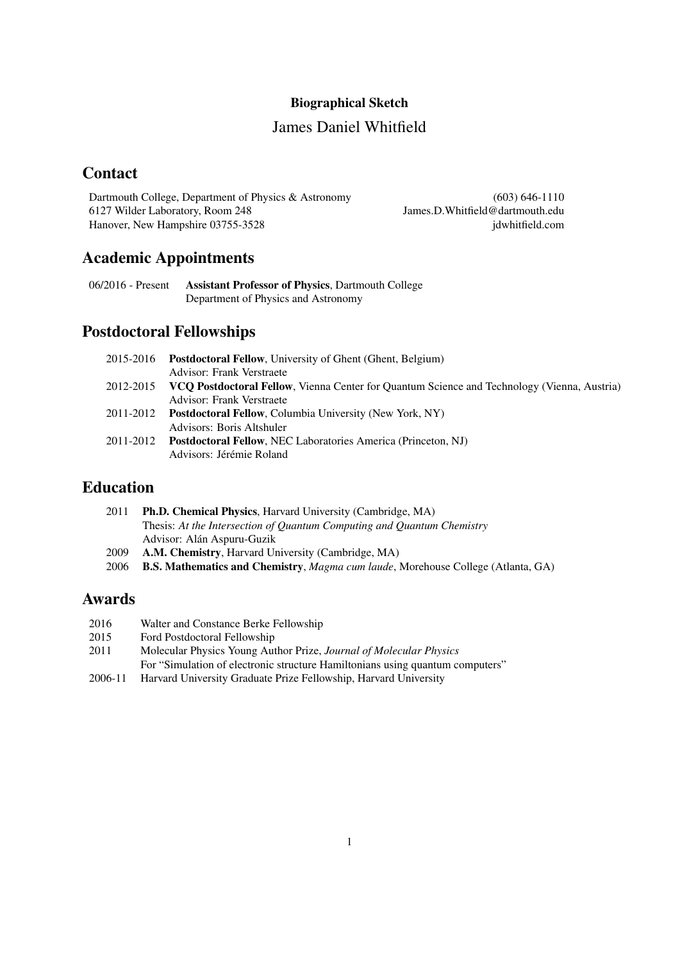#### Biographical Sketch

## James Daniel Whitfield

# **Contact**

Dartmouth College, Department of Physics & Astronomy 6127 Wilder Laboratory, Room 248 Hanover, New Hampshire 03755-3528

(603) 646-1110 James.D.Whitfield@dartmouth.edu jdwhitfield.com

# Academic Appointments

06/2016 - Present Assistant Professor of Physics, Dartmouth College Department of Physics and Astronomy

## Postdoctoral Fellowships

|           | 2015-2016 Postdoctoral Fellow, University of Ghent (Ghent, Belgium)                                |  |
|-----------|----------------------------------------------------------------------------------------------------|--|
|           | Advisor: Frank Verstraete                                                                          |  |
| 2012-2015 | <b>VCO Postdoctoral Fellow, Vienna Center for Ouantum Science and Technology (Vienna, Austria)</b> |  |
|           | Advisor: Frank Verstraete                                                                          |  |
|           | 2011-2012 Postdoctoral Fellow, Columbia University (New York, NY)                                  |  |
|           | Advisors: Boris Altshuler                                                                          |  |
| 2011-2012 | <b>Postdoctoral Fellow, NEC Laboratories America (Princeton, NJ)</b>                               |  |
|           | Advisors: Jérémie Roland                                                                           |  |
|           |                                                                                                    |  |

## Education

| 2011 | <b>Ph.D. Chemical Physics.</b> Harvard University (Cambridge, MA)      |  |
|------|------------------------------------------------------------------------|--|
|      | Thesis: At the Intersection of Quantum Computing and Quantum Chemistry |  |
|      | Advisor: Alán Aspuru-Guzik                                             |  |
| 2009 | A.M. Chemistry, Harvard University (Cambridge, MA)                     |  |

2006 B.S. Mathematics and Chemistry, *Magma cum laude*, Morehouse College (Atlanta, GA)

# Awards

- 2016 Walter and Constance Berke Fellowship<br>2015 Ford Postdoctoral Fellowship
- Ford Postdoctoral Fellowship
- 2011 Molecular Physics Young Author Prize, *Journal of Molecular Physics* For "Simulation of electronic structure Hamiltonians using quantum computers"
- 2006-11 Harvard University Graduate Prize Fellowship, Harvard University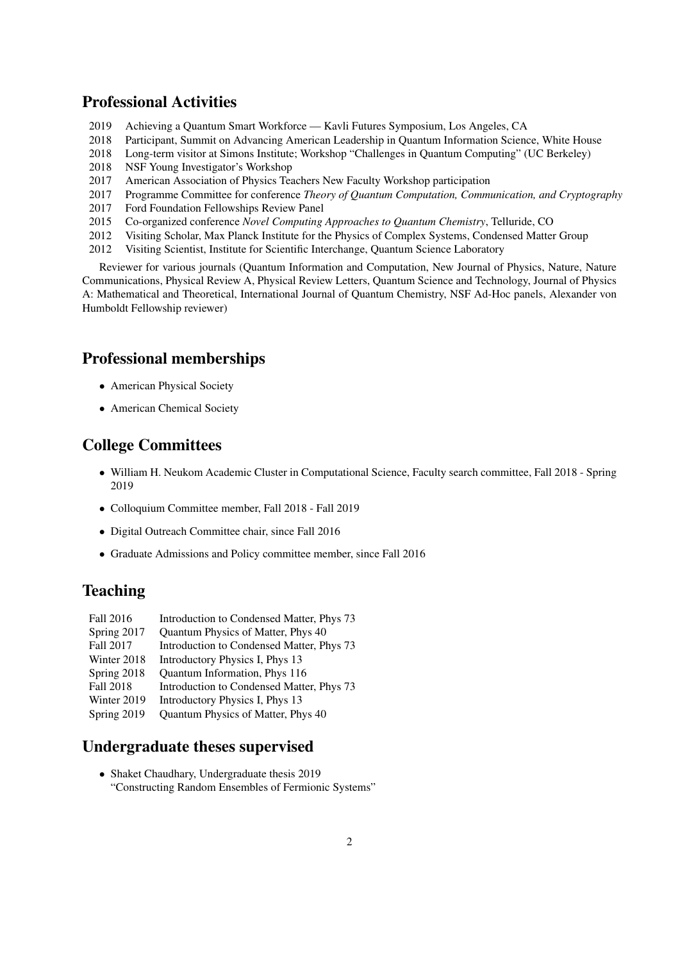## Professional Activities

- 2019 Achieving a Quantum Smart Workforce Kavli Futures Symposium, Los Angeles, CA
- 2018 Participant, Summit on Advancing American Leadership in Quantum Information Science, White House
- 2018 Long-term visitor at Simons Institute; Workshop "Challenges in Quantum Computing" (UC Berkeley)
- 2018 NSF Young Investigator's Workshop
- 2017 American Association of Physics Teachers New Faculty Workshop participation
- 2017 Programme Committee for conference *Theory of Quantum Computation, Communication, and Cryptography*
- 2017 Ford Foundation Fellowships Review Panel
- 2015 Co-organized conference *Novel Computing Approaches to Quantum Chemistry*, Telluride, CO
- 2012 Visiting Scholar, Max Planck Institute for the Physics of Complex Systems, Condensed Matter Group
- 2012 Visiting Scientist, Institute for Scientific Interchange, Quantum Science Laboratory

Reviewer for various journals (Quantum Information and Computation, New Journal of Physics, Nature, Nature Communications, Physical Review A, Physical Review Letters, Quantum Science and Technology, Journal of Physics A: Mathematical and Theoretical, International Journal of Quantum Chemistry, NSF Ad-Hoc panels, Alexander von Humboldt Fellowship reviewer)

#### Professional memberships

- American Physical Society
- American Chemical Society

## College Committees

- William H. Neukom Academic Cluster in Computational Science, Faculty search committee, Fall 2018 Spring 2019
- Colloquium Committee member, Fall 2018 Fall 2019
- Digital Outreach Committee chair, since Fall 2016
- Graduate Admissions and Policy committee member, since Fall 2016

## Teaching

| Fall 2016   | Introduction to Condensed Matter, Phys 73 |
|-------------|-------------------------------------------|
| Spring 2017 | Quantum Physics of Matter, Phys 40        |
| Fall 2017   | Introduction to Condensed Matter, Phys 73 |
| Winter 2018 | Introductory Physics I, Phys 13           |
| Spring 2018 | Quantum Information, Phys 116             |
| Fall 2018   | Introduction to Condensed Matter, Phys 73 |
| Winter 2019 | Introductory Physics I, Phys 13           |
| Spring 2019 | Quantum Physics of Matter, Phys 40        |
|             |                                           |

## Undergraduate theses supervised

• Shaket Chaudhary, Undergraduate thesis 2019 "Constructing Random Ensembles of Fermionic Systems"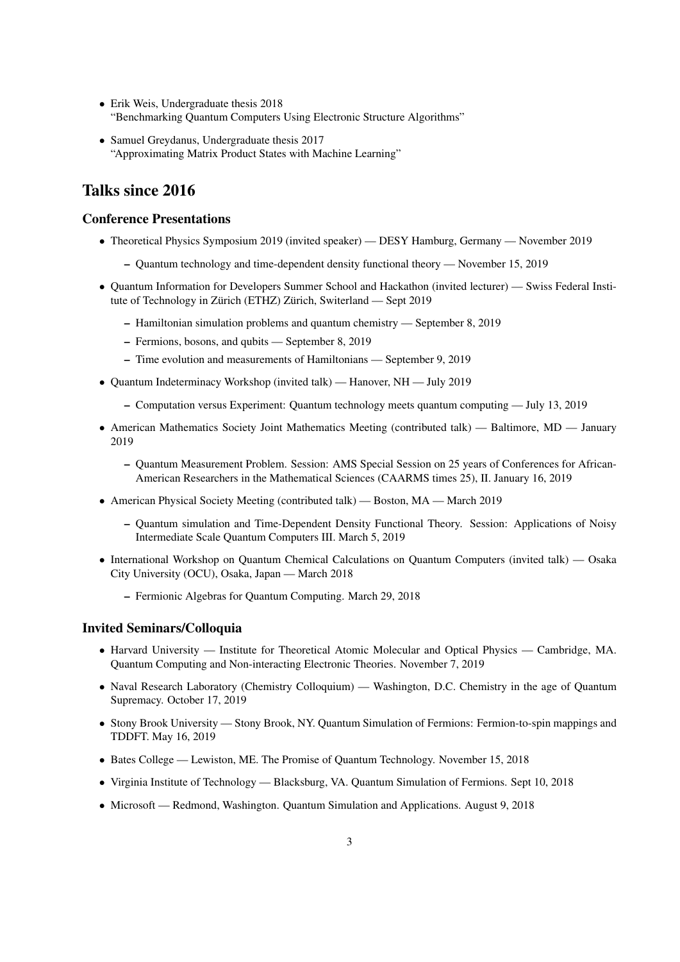- Erik Weis, Undergraduate thesis 2018 "Benchmarking Quantum Computers Using Electronic Structure Algorithms"
- Samuel Greydanus, Undergraduate thesis 2017 "Approximating Matrix Product States with Machine Learning"

# Talks since 2016

#### Conference Presentations

- Theoretical Physics Symposium 2019 (invited speaker) DESY Hamburg, Germany November 2019
	- Quantum technology and time-dependent density functional theory November 15, 2019
- Quantum Information for Developers Summer School and Hackathon (invited lecturer) Swiss Federal Institute of Technology in Zürich (ETHZ) Zürich, Switerland — Sept 2019
	- Hamiltonian simulation problems and quantum chemistry September 8, 2019
	- Fermions, bosons, and qubits September 8, 2019
	- Time evolution and measurements of Hamiltonians September 9, 2019
- Quantum Indeterminacy Workshop (invited talk) Hanover, NH July 2019
	- Computation versus Experiment: Quantum technology meets quantum computing July 13, 2019
- American Mathematics Society Joint Mathematics Meeting (contributed talk) Baltimore, MD January 2019
	- Quantum Measurement Problem. Session: AMS Special Session on 25 years of Conferences for African-American Researchers in the Mathematical Sciences (CAARMS times 25), II. January 16, 2019
- American Physical Society Meeting (contributed talk) Boston, MA March 2019
	- Quantum simulation and Time-Dependent Density Functional Theory. Session: Applications of Noisy Intermediate Scale Quantum Computers III. March 5, 2019
- International Workshop on Quantum Chemical Calculations on Quantum Computers (invited talk) Osaka City University (OCU), Osaka, Japan — March 2018
	- Fermionic Algebras for Quantum Computing. March 29, 2018

#### Invited Seminars/Colloquia

- Harvard University Institute for Theoretical Atomic Molecular and Optical Physics Cambridge, MA. Quantum Computing and Non-interacting Electronic Theories. November 7, 2019
- Naval Research Laboratory (Chemistry Colloquium) Washington, D.C. Chemistry in the age of Quantum Supremacy. October 17, 2019
- Stony Brook University Stony Brook, NY. Quantum Simulation of Fermions: Fermion-to-spin mappings and TDDFT. May 16, 2019
- Bates College Lewiston, ME. The Promise of Quantum Technology. November 15, 2018
- Virginia Institute of Technology Blacksburg, VA. Quantum Simulation of Fermions. Sept 10, 2018
- Microsoft Redmond, Washington. Quantum Simulation and Applications. August 9, 2018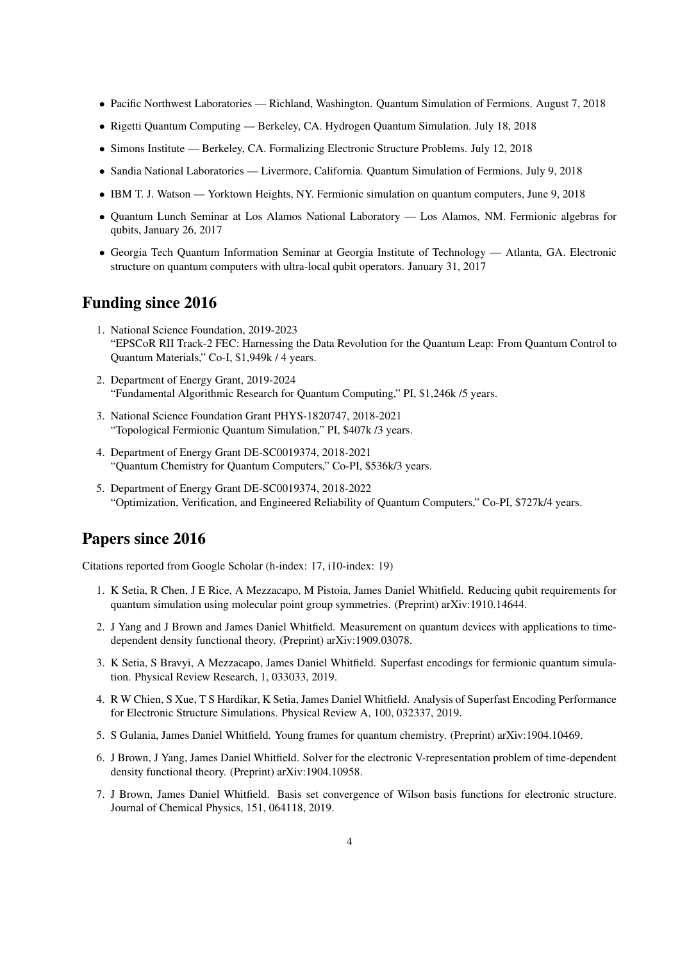- Pacific Northwest Laboratories Richland, Washington. Quantum Simulation of Fermions. August 7, 2018
- Rigetti Quantum Computing Berkeley, CA. Hydrogen Quantum Simulation. July 18, 2018
- Simons Institute Berkeley, CA. Formalizing Electronic Structure Problems. July 12, 2018
- Sandia National Laboratories Livermore, California. Quantum Simulation of Fermions. July 9, 2018
- IBM T. J. Watson Yorktown Heights, NY. Fermionic simulation on quantum computers, June 9, 2018
- Quantum Lunch Seminar at Los Alamos National Laboratory Los Alamos, NM. Fermionic algebras for qubits, January 26, 2017
- Georgia Tech Quantum Information Seminar at Georgia Institute of Technology Atlanta, GA. Electronic structure on quantum computers with ultra-local qubit operators. January 31, 2017

### Funding since 2016

- 1. National Science Foundation, 2019-2023 "EPSCoR RII Track-2 FEC: Harnessing the Data Revolution for the Quantum Leap: From Quantum Control to Quantum Materials," Co-I, \$1,949k / 4 years.
- 2. Department of Energy Grant, 2019-2024 "Fundamental Algorithmic Research for Quantum Computing," PI, \$1,246k /5 years.
- 3. National Science Foundation Grant PHYS-1820747, 2018-2021 "Topological Fermionic Quantum Simulation," PI, \$407k /3 years.
- 4. Department of Energy Grant DE-SC0019374, 2018-2021 "Quantum Chemistry for Quantum Computers," Co-PI, \$536k/3 years.
- 5. Department of Energy Grant DE-SC0019374, 2018-2022 "Optimization, Verification, and Engineered Reliability of Quantum Computers," Co-PI, \$727k/4 years.

#### Papers since 2016

Citations reported from Google Scholar (h-index: 17, i10-index: 19)

- 1. K Setia, R Chen, J E Rice, A Mezzacapo, M Pistoia, James Daniel Whitfield. Reducing qubit requirements for quantum simulation using molecular point group symmetries. (Preprint) arXiv:1910.14644.
- 2. J Yang and J Brown and James Daniel Whitfield. Measurement on quantum devices with applications to timedependent density functional theory. (Preprint) arXiv:1909.03078.
- 3. K Setia, S Bravyi, A Mezzacapo, James Daniel Whitfield. Superfast encodings for fermionic quantum simulation. Physical Review Research, 1, 033033, 2019.
- 4. R W Chien, S Xue, T S Hardikar, K Setia, James Daniel Whitfield. Analysis of Superfast Encoding Performance for Electronic Structure Simulations. Physical Review A, 100, 032337, 2019.
- 5. S Gulania, James Daniel Whitfield. Young frames for quantum chemistry. (Preprint) arXiv:1904.10469.
- 6. J Brown, J Yang, James Daniel Whitfield. Solver for the electronic V-representation problem of time-dependent density functional theory. (Preprint) arXiv:1904.10958.
- 7. J Brown, James Daniel Whitfield. Basis set convergence of Wilson basis functions for electronic structure. Journal of Chemical Physics, 151, 064118, 2019.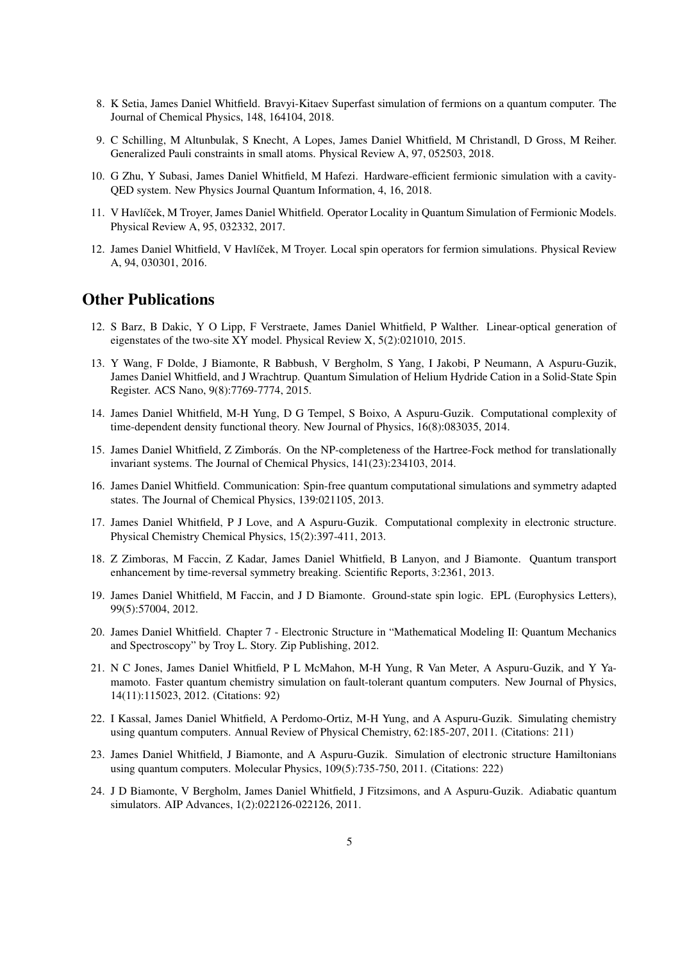- 8. K Setia, James Daniel Whitfield. Bravyi-Kitaev Superfast simulation of fermions on a quantum computer. The Journal of Chemical Physics, 148, 164104, 2018.
- 9. C Schilling, M Altunbulak, S Knecht, A Lopes, James Daniel Whitfield, M Christandl, D Gross, M Reiher. Generalized Pauli constraints in small atoms. Physical Review A, 97, 052503, 2018.
- 10. G Zhu, Y Subasi, James Daniel Whitfield, M Hafezi. Hardware-efficient fermionic simulation with a cavity-QED system. New Physics Journal Quantum Information, 4, 16, 2018.
- 11. V Havlíček, M Troyer, James Daniel Whitfield. Operator Locality in Quantum Simulation of Fermionic Models. Physical Review A, 95, 032332, 2017.
- 12. James Daniel Whitfield, V Havlíček, M Troyer. Local spin operators for fermion simulations. Physical Review A, 94, 030301, 2016.

### Other Publications

- 12. S Barz, B Dakic, Y O Lipp, F Verstraete, James Daniel Whitfield, P Walther. Linear-optical generation of eigenstates of the two-site XY model. Physical Review X, 5(2):021010, 2015.
- 13. Y Wang, F Dolde, J Biamonte, R Babbush, V Bergholm, S Yang, I Jakobi, P Neumann, A Aspuru-Guzik, James Daniel Whitfield, and J Wrachtrup. Quantum Simulation of Helium Hydride Cation in a Solid-State Spin Register. ACS Nano, 9(8):7769-7774, 2015.
- 14. James Daniel Whitfield, M-H Yung, D G Tempel, S Boixo, A Aspuru-Guzik. Computational complexity of time-dependent density functional theory. New Journal of Physics, 16(8):083035, 2014.
- 15. James Daniel Whitfield, Z Zimborás. On the NP-completeness of the Hartree-Fock method for translationally invariant systems. The Journal of Chemical Physics, 141(23):234103, 2014.
- 16. James Daniel Whitfield. Communication: Spin-free quantum computational simulations and symmetry adapted states. The Journal of Chemical Physics, 139:021105, 2013.
- 17. James Daniel Whitfield, P J Love, and A Aspuru-Guzik. Computational complexity in electronic structure. Physical Chemistry Chemical Physics, 15(2):397-411, 2013.
- 18. Z Zimboras, M Faccin, Z Kadar, James Daniel Whitfield, B Lanyon, and J Biamonte. Quantum transport enhancement by time-reversal symmetry breaking. Scientific Reports, 3:2361, 2013.
- 19. James Daniel Whitfield, M Faccin, and J D Biamonte. Ground-state spin logic. EPL (Europhysics Letters), 99(5):57004, 2012.
- 20. James Daniel Whitfield. Chapter 7 Electronic Structure in "Mathematical Modeling II: Quantum Mechanics and Spectroscopy" by Troy L. Story. Zip Publishing, 2012.
- 21. N C Jones, James Daniel Whitfield, P L McMahon, M-H Yung, R Van Meter, A Aspuru-Guzik, and Y Yamamoto. Faster quantum chemistry simulation on fault-tolerant quantum computers. New Journal of Physics, 14(11):115023, 2012. (Citations: 92)
- 22. I Kassal, James Daniel Whitfield, A Perdomo-Ortiz, M-H Yung, and A Aspuru-Guzik. Simulating chemistry using quantum computers. Annual Review of Physical Chemistry, 62:185-207, 2011. (Citations: 211)
- 23. James Daniel Whitfield, J Biamonte, and A Aspuru-Guzik. Simulation of electronic structure Hamiltonians using quantum computers. Molecular Physics, 109(5):735-750, 2011. (Citations: 222)
- 24. J D Biamonte, V Bergholm, James Daniel Whitfield, J Fitzsimons, and A Aspuru-Guzik. Adiabatic quantum simulators. AIP Advances, 1(2):022126-022126, 2011.